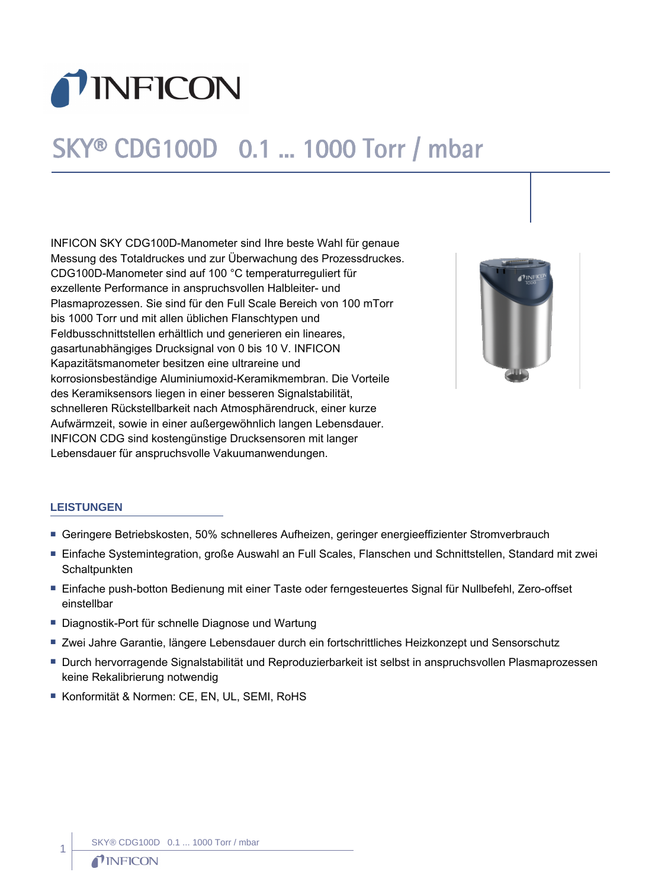

# SKY® CDG100D 0.1 ... 1000 Torr / mbar

INFICON SKY CDG100D-Manometer sind Ihre beste Wahl für genaue Messung des Totaldruckes und zur Überwachung des Prozessdruckes. CDG100D-Manometer sind auf 100 °C temperaturreguliert für exzellente Performance in anspruchsvollen Halbleiter- und Plasmaprozessen. Sie sind für den Full Scale Bereich von 100 mTorr bis 1000 Torr und mit allen üblichen Flanschtypen und Feldbusschnittstellen erhältlich und generieren ein lineares, gasartunabhängiges Drucksignal von 0 bis 10 V. INFICON Kapazitätsmanometer besitzen eine ultrareine und korrosionsbeständige Aluminiumoxid-Keramikmembran. Die Vorteile des Keramiksensors liegen in einer besseren Signalstabilität, schnelleren Rückstellbarkeit nach Atmosphärendruck, einer kurze Aufwärmzeit, sowie in einer außergewöhnlich langen Lebensdauer. INFICON CDG sind kostengünstige Drucksensoren mit langer Lebensdauer für anspruchsvolle Vakuumanwendungen.



#### **LEISTUNGEN**

- Geringere Betriebskosten, 50% schnelleres Aufheizen, geringer energieeffizienter Stromverbrauch
- Einfache Systemintegration, große Auswahl an Full Scales, Flanschen und Schnittstellen, Standard mit zwei **Schaltpunkten**
- Einfache push-botton Bedienung mit einer Taste oder ferngesteuertes Signal für Nullbefehl, Zero-offset einstellbar
- Diagnostik-Port für schnelle Diagnose und Wartung
- Zwei Jahre Garantie, längere Lebensdauer durch ein fortschrittliches Heizkonzept und Sensorschutz
- Durch hervorragende Signalstabilität und Reproduzierbarkeit ist selbst in anspruchsvollen Plasmaprozessen keine Rekalibrierung notwendig
- Konformität & Normen: CE, EN, UL, SEMI, RoHS

1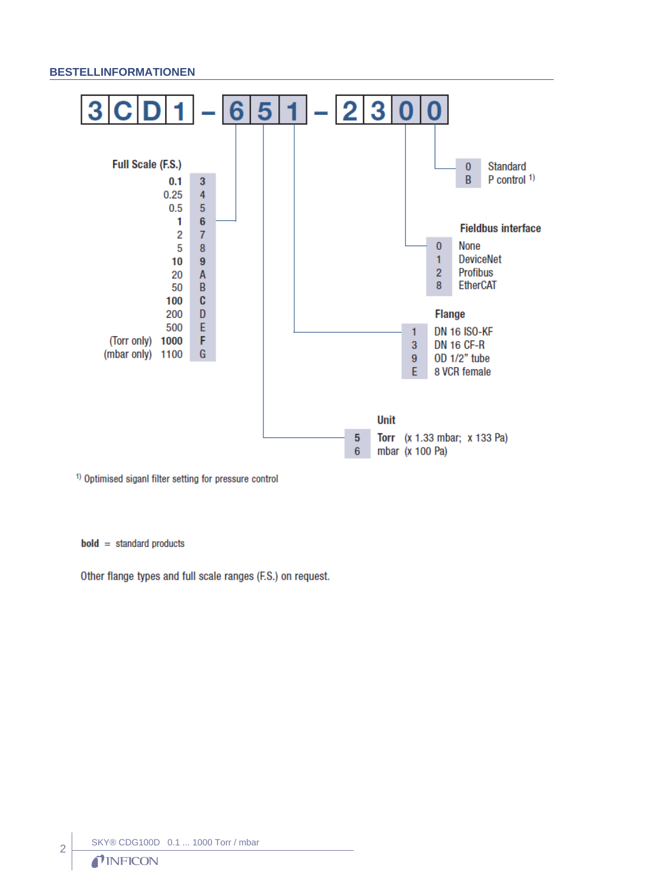#### **BESTELLINFORMATIONEN**



<sup>1)</sup> Optimised siganl filter setting for pressure control

 $bold = standard products$ 

Other flange types and full scale ranges (F.S.) on request.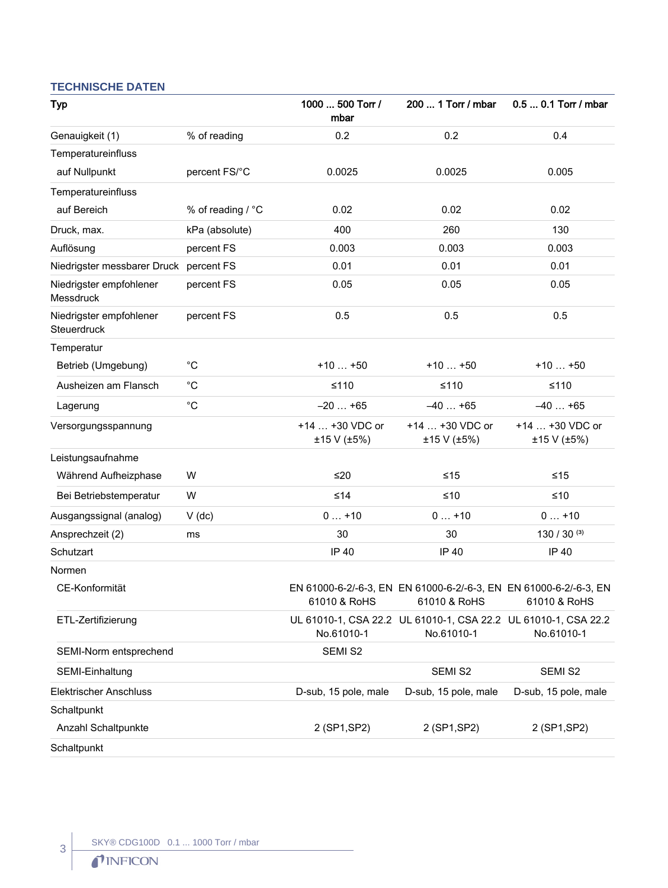### **TECHNISCHE DATEN**

| Typ                                    |                   | 1000  500 Torr /<br>mbar       | 200  1 Torr / mbar                                                                | 0.5  0.1 Torr / mbar           |
|----------------------------------------|-------------------|--------------------------------|-----------------------------------------------------------------------------------|--------------------------------|
| Genauigkeit (1)                        | % of reading      | 0.2                            | 0.2                                                                               | 0.4                            |
| Temperatureinfluss                     |                   |                                |                                                                                   |                                |
| auf Nullpunkt                          | percent FS/°C     | 0.0025                         | 0.0025                                                                            | 0.005                          |
| Temperatureinfluss                     |                   |                                |                                                                                   |                                |
| auf Bereich                            | % of reading / °C | 0.02                           | 0.02                                                                              | 0.02                           |
| Druck, max.                            | kPa (absolute)    | 400                            | 260                                                                               | 130                            |
| Auflösung                              | percent FS        | 0.003                          | 0.003                                                                             | 0.003                          |
| Niedrigster messbarer Druck percent FS |                   | 0.01                           | 0.01                                                                              | 0.01                           |
| Niedrigster empfohlener<br>Messdruck   | percent FS        | 0.05                           | 0.05                                                                              | 0.05                           |
| Niedrigster empfohlener<br>Steuerdruck | percent FS        | 0.5                            | 0.5                                                                               | 0.5                            |
| Temperatur                             |                   |                                |                                                                                   |                                |
| Betrieb (Umgebung)                     | $^{\circ}C$       | $+10+50$                       | $+10+50$                                                                          | $+10+50$                       |
| Ausheizen am Flansch                   | $^{\circ}C$       | $≤110$                         | $≤110$                                                                            | $≤110$                         |
| Lagerung                               | $^{\circ}C$       | $-20+65$                       | $-40+65$                                                                          | $-40+65$                       |
| Versorgungsspannung                    |                   | +14  +30 VDC or<br>±15 V (±5%) | $+14$ $+30$ VDC or<br>±15 V (±5%)                                                 | +14  +30 VDC or<br>±15 V (±5%) |
| Leistungsaufnahme                      |                   |                                |                                                                                   |                                |
| Während Aufheizphase                   | W                 | ≤20                            | $≤15$                                                                             | $≤15$                          |
| Bei Betriebstemperatur                 | W                 | $≤14$                          | $≤10$                                                                             | $≤10$                          |
| Ausgangssignal (analog)                | $V$ (dc)          | $0+10$                         | $0+10$                                                                            | $0+10$                         |
| Ansprechzeit (2)                       | ms                | 30                             | 30                                                                                | 130 / 30 $(3)$                 |
| Schutzart                              |                   | <b>IP 40</b>                   | IP 40                                                                             | <b>IP 40</b>                   |
| Normen                                 |                   |                                |                                                                                   |                                |
| CE-Konformität                         |                   | 61010 & RoHS                   | EN 61000-6-2/-6-3, EN EN 61000-6-2/-6-3, EN EN 61000-6-2/-6-3, EN<br>61010 & RoHS | 61010 & RoHS                   |
| ETL-Zertifizierung                     |                   | No.61010-1                     | UL 61010-1, CSA 22.2 UL 61010-1, CSA 22.2 UL 61010-1, CSA 22.2<br>No.61010-1      | No.61010-1                     |
| SEMI-Norm entsprechend                 |                   | SEMI S2                        |                                                                                   |                                |
| SEMI-Einhaltung                        |                   |                                | SEMI S2                                                                           | SEMI S2                        |
| <b>Elektrischer Anschluss</b>          |                   | D-sub, 15 pole, male           | D-sub, 15 pole, male                                                              | D-sub, 15 pole, male           |
| Schaltpunkt                            |                   |                                |                                                                                   |                                |
| Anzahl Schaltpunkte                    |                   | 2 (SP1, SP2)                   | 2 (SP1, SP2)                                                                      | 2 (SP1, SP2)                   |
| Schaltpunkt                            |                   |                                |                                                                                   |                                |

 $\left| \begin{array}{c} 3 \\ 1 \end{array} \right|$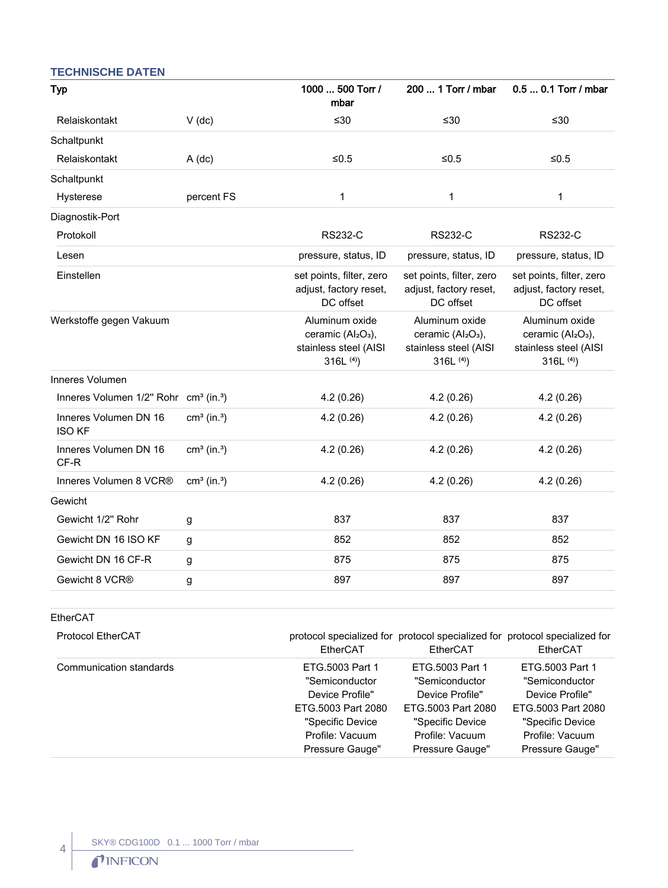#### **TECHNISCHE DATEN**

| <b>Typ</b>                                                    |                           | 1000  500 Torr /<br>mbar                                                                            | 200  1 Torr / mbar                                                                                  | 0.5  0.1 Torr / mbar                                                         |
|---------------------------------------------------------------|---------------------------|-----------------------------------------------------------------------------------------------------|-----------------------------------------------------------------------------------------------------|------------------------------------------------------------------------------|
| Relaiskontakt                                                 | $V$ (dc)                  | ≤30                                                                                                 | $≤30$                                                                                               | ≤30                                                                          |
| Schaltpunkt                                                   |                           |                                                                                                     |                                                                                                     |                                                                              |
| Relaiskontakt                                                 | $A$ (dc)                  | $≤0.5$                                                                                              | $≤0.5$                                                                                              | $≤0.5$                                                                       |
| Schaltpunkt                                                   |                           |                                                                                                     |                                                                                                     |                                                                              |
| Hysterese                                                     | percent FS                | 1                                                                                                   | 1                                                                                                   | 1                                                                            |
| Diagnostik-Port                                               |                           |                                                                                                     |                                                                                                     |                                                                              |
| Protokoll                                                     |                           | <b>RS232-C</b>                                                                                      | <b>RS232-C</b>                                                                                      | <b>RS232-C</b>                                                               |
| Lesen                                                         |                           | pressure, status, ID                                                                                | pressure, status, ID                                                                                | pressure, status, ID                                                         |
| Einstellen                                                    |                           | set points, filter, zero<br>adjust, factory reset,<br>DC offset                                     | set points, filter, zero<br>adjust, factory reset,<br>DC offset                                     | set points, filter, zero<br>adjust, factory reset,<br>DC offset              |
| Werkstoffe gegen Vakuum                                       |                           | Aluminum oxide<br>ceramic (Al <sub>2</sub> O <sub>3</sub> ),<br>stainless steel (AISI<br>316L $(4)$ | Aluminum oxide<br>ceramic (Al <sub>2</sub> O <sub>3</sub> ),<br>stainless steel (AISI<br>316L $(4)$ | Aluminum oxide<br>ceramic $(Al2O3)$ ,<br>stainless steel (AISI<br>316L $(4)$ |
| Inneres Volumen                                               |                           |                                                                                                     |                                                                                                     |                                                                              |
| Inneres Volumen 1/2" Rohr cm <sup>3</sup> (in. <sup>3</sup> ) |                           | 4.2(0.26)                                                                                           | 4.2(0.26)                                                                                           | 4.2(0.26)                                                                    |
| Inneres Volumen DN 16<br><b>ISO KF</b>                        | $cm3$ (in. <sup>3</sup> ) | 4.2(0.26)                                                                                           | 4.2(0.26)                                                                                           | 4.2(0.26)                                                                    |
| Inneres Volumen DN 16<br>CF-R                                 | $cm3$ (in. <sup>3</sup> ) | 4.2(0.26)                                                                                           | 4.2(0.26)                                                                                           | 4.2(0.26)                                                                    |
| Inneres Volumen 8 VCR®                                        | $cm3$ (in. <sup>3</sup> ) | 4.2(0.26)                                                                                           | 4.2(0.26)                                                                                           | 4.2(0.26)                                                                    |
| Gewicht                                                       |                           |                                                                                                     |                                                                                                     |                                                                              |
| Gewicht 1/2" Rohr                                             | g                         | 837                                                                                                 | 837                                                                                                 | 837                                                                          |
| Gewicht DN 16 ISO KF                                          | g                         | 852                                                                                                 | 852                                                                                                 | 852                                                                          |
| Gewicht DN 16 CF-R                                            | g                         | 875                                                                                                 | 875                                                                                                 | 875                                                                          |
| Gewicht 8 VCR®                                                | g                         | 897                                                                                                 | 897                                                                                                 | 897                                                                          |

#### EtherCAT

 $\begin{array}{c} 4 \end{array}$ 

| <b>Protocol EtherCAT</b> | EtherCAT           | EtherCAT           | protocol specialized for protocol specialized for protocol specialized for<br>EtherCAT |
|--------------------------|--------------------|--------------------|----------------------------------------------------------------------------------------|
| Communication standards  | ETG.5003 Part 1    | ETG.5003 Part 1    | ETG.5003 Part 1                                                                        |
|                          | "Semiconductor     | "Semiconductor     | "Semiconductor                                                                         |
|                          | Device Profile"    | Device Profile"    | Device Profile"                                                                        |
|                          | ETG.5003 Part 2080 | ETG.5003 Part 2080 | ETG.5003 Part 2080                                                                     |
|                          | "Specific Device   | "Specific Device   | "Specific Device                                                                       |
|                          | Profile: Vacuum    | Profile: Vacuum    | Profile: Vacuum                                                                        |
|                          | Pressure Gauge"    | Pressure Gauge"    | Pressure Gauge"                                                                        |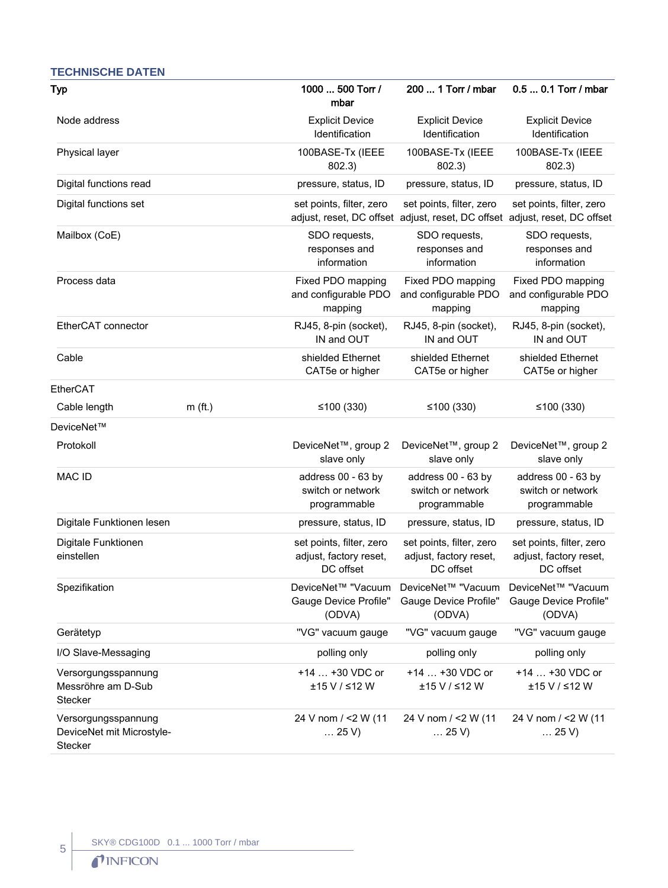#### Typ 1000 ... 500 Torr / mbar 200 ... 1 Torr / mbar 0.5 ... 0.1 Torr / mbar Node address **Explicit Device** Identification Explicit Device Identification Explicit Device Identification Physical layer 100BASE-Tx (IEEE 802.3) 100BASE-Tx (IEEE 802.3) 100BASE-Tx (IEEE 802.3) Digital functions read pressure, status, ID pressure, status, ID pressure, status, ID Digital functions set set points, filter, zero adjust, reset, DC offset adjust, reset, DC offset adjust, reset, DC offset set points, filter, zero set points, filter, zero Mailbox (CoE) SDO requests, responses and information SDO requests, responses and information SDO requests, responses and information Process data **Fixed PDO** mapping and configurable PDO mapping Fixed PDO mapping and configurable PDO mapping Fixed PDO mapping and configurable PDO mapping EtherCAT connector RJ45, 8-pin (socket), IN and OUT RJ45, 8-pin (socket), IN and OUT RJ45, 8-pin (socket), IN and OUT Cable Shielded Ethernet CAT5e or higher shielded Ethernet CAT5e or higher shielded Ethernet CAT5e or higher EtherCAT Cable length m (ft.) ≤100 (330) ≤100 (330) ≤100 (330) DeviceNet™ Protokoll DeviceNet™, group 2 slave only DeviceNet™, group 2 slave only DeviceNet™, group 2 slave only MAC ID address 00 - 63 by switch or network programmable address 00 - 63 by switch or network programmable address 00 - 63 by switch or network programmable Digitale Funktionen lesen pressure, status, ID pressure, status, ID pressure, status, ID Digitale Funktionen einstellen set points, filter, zero adjust, factory reset, DC offset set points, filter, zero adjust, factory reset, DC offset set points, filter, zero adjust, factory reset, DC offset Spezifikation DeviceNet™ "Vacuum Gauge Device Profile" (ODVA) DeviceNet™ "Vacuum Gauge Device Profile" (ODVA) DeviceNet™ "Vacuum Gauge Device Profile" (ODVA) Gerätetyp ''VG'' vacuum gauge ''VG'' vacuum gauge ''VG'' vacuum gauge ''VG'' vacuum gauge I/O Slave-Messaging **polling only** polling only polling only polling only polling only polling only Versorgungsspannung Messröhre am D-Sub **Stecker** +14 … +30 VDC or ±15 V / ≤12 W +14 … +30 VDC or ±15 V / ≤12 W +14 … +30 VDC or ±15 V / ≤12 W Versorgungsspannung DeviceNet mit Microstyle-24 V nom / <2 W (11 … 25 V) 24 V nom / <2 W (11 … 25 V) 24 V nom / <2 W (11 … 25 V)

## **TECHNISCHE DATEN**

**Stecker**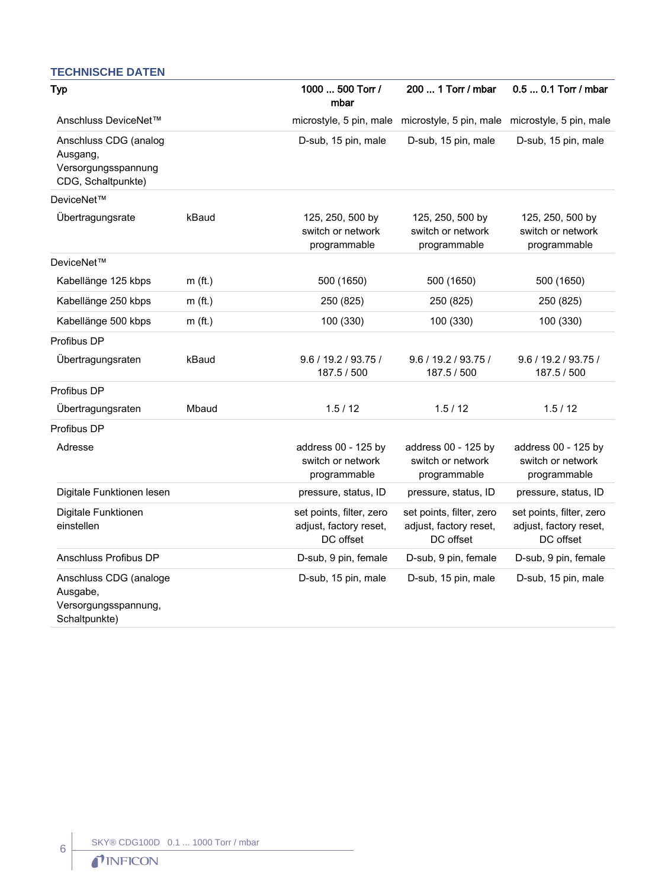#### **TECHNISCHE DATEN**

| <b>Typ</b>                                                                     |           | 1000  500 Torr /<br>mbar                                        | 200  1 Torr / mbar                                                      | 0.5  0.1 Torr / mbar                                            |
|--------------------------------------------------------------------------------|-----------|-----------------------------------------------------------------|-------------------------------------------------------------------------|-----------------------------------------------------------------|
| Anschluss DeviceNet™                                                           |           |                                                                 | microstyle, 5 pin, male microstyle, 5 pin, male microstyle, 5 pin, male |                                                                 |
| Anschluss CDG (analog<br>Ausgang,<br>Versorgungsspannung<br>CDG, Schaltpunkte) |           | D-sub, 15 pin, male                                             | D-sub, 15 pin, male                                                     | D-sub, 15 pin, male                                             |
| DeviceNet™                                                                     |           |                                                                 |                                                                         |                                                                 |
| Übertragungsrate                                                               | kBaud     | 125, 250, 500 by<br>switch or network<br>programmable           | 125, 250, 500 by<br>switch or network<br>programmable                   | 125, 250, 500 by<br>switch or network<br>programmable           |
| DeviceNet™                                                                     |           |                                                                 |                                                                         |                                                                 |
| Kabellänge 125 kbps                                                            | $m$ (ft.) | 500 (1650)                                                      | 500 (1650)                                                              | 500 (1650)                                                      |
| Kabellänge 250 kbps                                                            | $m$ (ft.) | 250 (825)                                                       | 250 (825)                                                               | 250 (825)                                                       |
| Kabellänge 500 kbps                                                            | $m$ (ft.) | 100 (330)                                                       | 100 (330)                                                               | 100 (330)                                                       |
| Profibus DP                                                                    |           |                                                                 |                                                                         |                                                                 |
| Übertragungsraten                                                              | kBaud     | 9.6 / 19.2 / 93.75 /<br>187.5 / 500                             | 9.6 / 19.2 / 93.75 /<br>187.5 / 500                                     | 9.6 / 19.2 / 93.75 /<br>187.5 / 500                             |
| Profibus DP                                                                    |           |                                                                 |                                                                         |                                                                 |
| Übertragungsraten                                                              | Mbaud     | 1.5/12                                                          | 1.5/12                                                                  | 1.5/12                                                          |
| Profibus DP                                                                    |           |                                                                 |                                                                         |                                                                 |
| Adresse                                                                        |           | address 00 - 125 by<br>switch or network<br>programmable        | address 00 - 125 by<br>switch or network<br>programmable                | address 00 - 125 by<br>switch or network<br>programmable        |
| Digitale Funktionen lesen                                                      |           | pressure, status, ID                                            | pressure, status, ID                                                    | pressure, status, ID                                            |
| Digitale Funktionen<br>einstellen                                              |           | set points, filter, zero<br>adjust, factory reset,<br>DC offset | set points, filter, zero<br>adjust, factory reset,<br>DC offset         | set points, filter, zero<br>adjust, factory reset,<br>DC offset |
| Anschluss Profibus DP                                                          |           | D-sub, 9 pin, female                                            | D-sub, 9 pin, female                                                    | D-sub, 9 pin, female                                            |
| Anschluss CDG (analoge<br>Ausgabe,<br>Versorgungsspannung,<br>Schaltpunkte)    |           | D-sub, 15 pin, male                                             | D-sub, 15 pin, male                                                     | D-sub, 15 pin, male                                             |